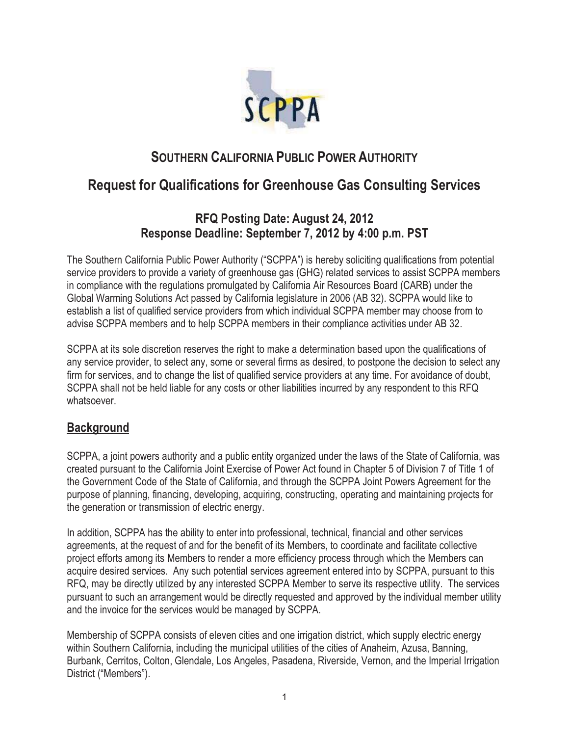

# **SOUTHERN CALIFORNIA PUBLIC POWER AUTHORITY**

# **Request for Qualifications for Greenhouse Gas Consulting Services**

# **RFQ Posting Date: August 24, 2012 Response Deadline: September 7, 2012 by 4:00 p.m. PST**

The Southern California Public Power Authority ("SCPPA") is hereby soliciting qualifications from potential service providers to provide a variety of greenhouse gas (GHG) related services to assist SCPPA members in compliance with the regulations promulgated by California Air Resources Board (CARB) under the Global Warming Solutions Act passed by California legislature in 2006 (AB 32). SCPPA would like to establish a list of qualified service providers from which individual SCPPA member may choose from to advise SCPPA members and to help SCPPA members in their compliance activities under AB 32.

SCPPA at its sole discretion reserves the right to make a determination based upon the qualifications of any service provider, to select any, some or several firms as desired, to postpone the decision to select any firm for services, and to change the list of qualified service providers at any time. For avoidance of doubt, SCPPA shall not be held liable for any costs or other liabilities incurred by any respondent to this RFQ whatsoever.

### **Background**

SCPPA, a joint powers authority and a public entity organized under the laws of the State of California, was created pursuant to the California Joint Exercise of Power Act found in Chapter 5 of Division 7 of Title 1 of the Government Code of the State of California, and through the SCPPA Joint Powers Agreement for the purpose of planning, financing, developing, acquiring, constructing, operating and maintaining projects for the generation or transmission of electric energy.

In addition, SCPPA has the ability to enter into professional, technical, financial and other services agreements, at the request of and for the benefit of its Members, to coordinate and facilitate collective project efforts among its Members to render a more efficiency process through which the Members can acquire desired services. Any such potential services agreement entered into by SCPPA, pursuant to this RFQ, may be directly utilized by any interested SCPPA Member to serve its respective utility. The services pursuant to such an arrangement would be directly requested and approved by the individual member utility and the invoice for the services would be managed by SCPPA.

Membership of SCPPA consists of eleven cities and one irrigation district, which supply electric energy within Southern California, including the municipal utilities of the cities of Anaheim, Azusa, Banning, Burbank, Cerritos, Colton, Glendale, Los Angeles, Pasadena, Riverside, Vernon, and the Imperial Irrigation District ("Members").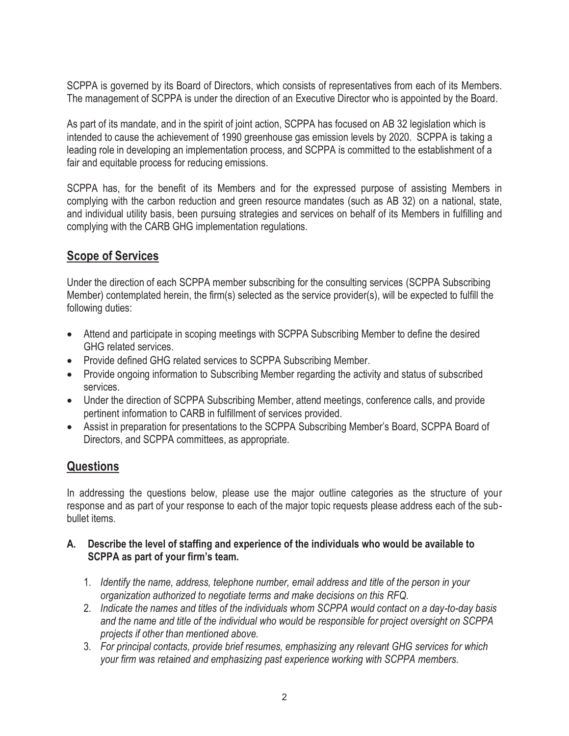SCPPA is governed by its Board of Directors, which consists of representatives from each of its Members. The management of SCPPA is under the direction of an Executive Director who is appointed by the Board.

As part of its mandate, and in the spirit of joint action, SCPPA has focused on AB 32 legislation which is intended to cause the achievement of 1990 greenhouse gas emission levels by 2020. SCPPA is taking a leading role in developing an implementation process, and SCPPA is committed to the establishment of a fair and equitable process for reducing emissions.

SCPPA has, for the benefit of its Members and for the expressed purpose of assisting Members in complying with the carbon reduction and green resource mandates (such as AB 32) on a national, state, and individual utility basis, been pursuing strategies and services on behalf of its Members in fulfilling and complying with the CARB GHG implementation regulations.

# **Scope of Services**

Under the direction of each SCPPA member subscribing for the consulting services (SCPPA Subscribing Member) contemplated herein, the firm(s) selected as the service provider(s), will be expected to fulfill the following duties:

- Attend and participate in scoping meetings with SCPPA Subscribing Member to define the desired GHG related services.
- Provide defined GHG related services to SCPPA Subscribing Member.
- Provide ongoing information to Subscribing Member regarding the activity and status of subscribed services.
- Under the direction of SCPPA Subscribing Member, attend meetings, conference calls, and provide pertinent information to CARB in fulfillment of services provided.
- Assist in preparation for presentations to the SCPPA Subscribing Member's Board, SCPPA Board of Directors, and SCPPA committees, as appropriate.

# **Questions**

In addressing the questions below, please use the major outline categories as the structure of your response and as part of your response to each of the major topic requests please address each of the subbullet items.

#### **A. Describe the level of staffing and experience of the individuals who would be available to SCPPA as part of your firm's team.**

- 1. *Identify the name, address, telephone number, email address and title of the person in your organization authorized to negotiate terms and make decisions on this RFQ.*
- 2. *Indicate the names and titles of the individuals whom SCPPA would contact on a day-to-day basis and the name and title of the individual who would be responsible for project oversight on SCPPA projects if other than mentioned above.*
- 3. *For principal contacts, provide brief resumes, emphasizing any relevant GHG services for which your firm was retained and emphasizing past experience working with SCPPA members.*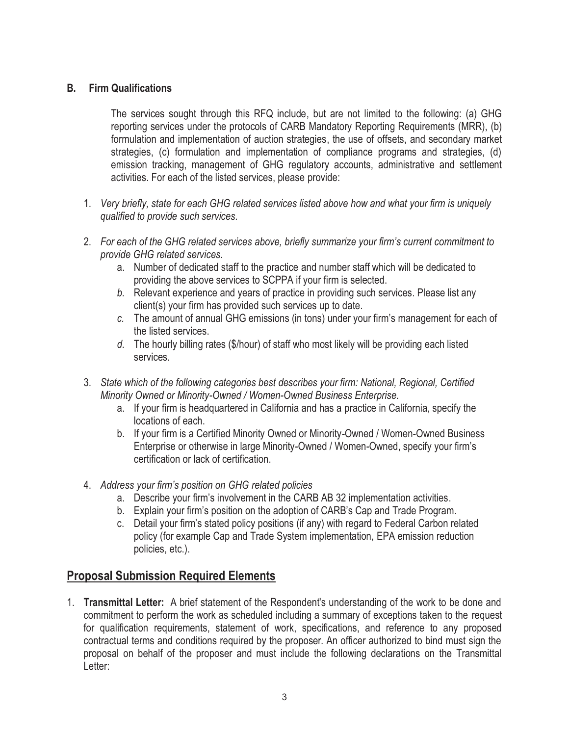#### **B. Firm Qualifications**

 The services sought through this RFQ include, but are not limited to the following: (a) GHG reporting services under the protocols of CARB Mandatory Reporting Requirements (MRR), (b) formulation and implementation of auction strategies, the use of offsets, and secondary market strategies, (c) formulation and implementation of compliance programs and strategies, (d) emission tracking, management of GHG regulatory accounts, administrative and settlement activities. For each of the listed services, please provide:

- 1. *Very briefly, state for each GHG related services listed above how and what your firm is uniquely qualified to provide such services.*
- 2. *For each of the GHG related services above, briefly summarize your firm's current commitment to provide GHG related services.* 
	- a. Number of dedicated staff to the practice and number staff which will be dedicated to providing the above services to SCPPA if your firm is selected.
	- *b.* Relevant experience and years of practice in providing such services. Please list any client(s) your firm has provided such services up to date.
	- *c.* The amount of annual GHG emissions (in tons) under your firm's management for each of the listed services.
	- *d.* The hourly billing rates (\$/hour) of staff who most likely will be providing each listed services.
- 3. *State which of the following categories best describes your firm: National, Regional, Certified Minority Owned or Minority-Owned / Women-Owned Business Enterprise.* 
	- a. If your firm is headquartered in California and has a practice in California, specify the locations of each.
	- b. If your firm is a Certified Minority Owned or Minority-Owned / Women-Owned Business Enterprise or otherwise in large Minority-Owned / Women-Owned, specify your firm's certification or lack of certification.
- 4. *Address your firm's position on GHG related policies* 
	- a. Describe your firm's involvement in the CARB AB 32 implementation activities.
	- b. Explain your firm's position on the adoption of CARB's Cap and Trade Program.
	- c. Detail your firm's stated policy positions (if any) with regard to Federal Carbon related policy (for example Cap and Trade System implementation, EPA emission reduction policies, etc.).

### **Proposal Submission Required Elements**

1. **Transmittal Letter:** A brief statement of the Respondent's understanding of the work to be done and commitment to perform the work as scheduled including a summary of exceptions taken to the request for qualification requirements, statement of work, specifications, and reference to any proposed contractual terms and conditions required by the proposer. An officer authorized to bind must sign the proposal on behalf of the proposer and must include the following declarations on the Transmittal Letter: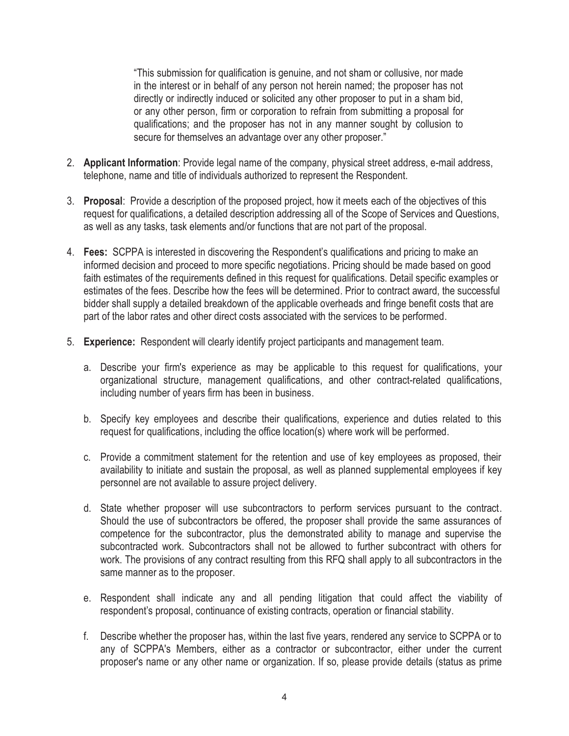"This submission for qualification is genuine, and not sham or collusive, nor made in the interest or in behalf of any person not herein named; the proposer has not directly or indirectly induced or solicited any other proposer to put in a sham bid, or any other person, firm or corporation to refrain from submitting a proposal for qualifications; and the proposer has not in any manner sought by collusion to secure for themselves an advantage over any other proposer."

- 2. **Applicant Information**: Provide legal name of the company, physical street address, e-mail address, telephone, name and title of individuals authorized to represent the Respondent.
- 3. **Proposal**: Provide a description of the proposed project, how it meets each of the objectives of this request for qualifications, a detailed description addressing all of the Scope of Services and Questions, as well as any tasks, task elements and/or functions that are not part of the proposal.
- 4. **Fees:** SCPPA is interested in discovering the Respondent's qualifications and pricing to make an informed decision and proceed to more specific negotiations. Pricing should be made based on good faith estimates of the requirements defined in this request for qualifications. Detail specific examples or estimates of the fees. Describe how the fees will be determined. Prior to contract award, the successful bidder shall supply a detailed breakdown of the applicable overheads and fringe benefit costs that are part of the labor rates and other direct costs associated with the services to be performed.
- 5. **Experience:** Respondent will clearly identify project participants and management team.
	- a. Describe your firm's experience as may be applicable to this request for qualifications, your organizational structure, management qualifications, and other contract-related qualifications, including number of years firm has been in business.
	- b. Specify key employees and describe their qualifications, experience and duties related to this request for qualifications, including the office location(s) where work will be performed.
	- c. Provide a commitment statement for the retention and use of key employees as proposed, their availability to initiate and sustain the proposal, as well as planned supplemental employees if key personnel are not available to assure project delivery.
	- d. State whether proposer will use subcontractors to perform services pursuant to the contract. Should the use of subcontractors be offered, the proposer shall provide the same assurances of competence for the subcontractor, plus the demonstrated ability to manage and supervise the subcontracted work. Subcontractors shall not be allowed to further subcontract with others for work. The provisions of any contract resulting from this RFQ shall apply to all subcontractors in the same manner as to the proposer.
	- e. Respondent shall indicate any and all pending litigation that could affect the viability of respondent's proposal, continuance of existing contracts, operation or financial stability.
	- f. Describe whether the proposer has, within the last five years, rendered any service to SCPPA or to any of SCPPA's Members, either as a contractor or subcontractor, either under the current proposer's name or any other name or organization. If so, please provide details (status as prime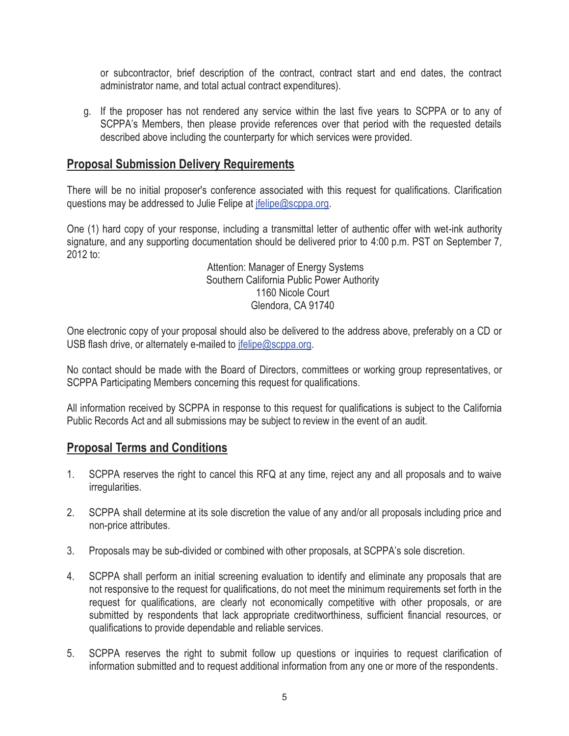or subcontractor, brief description of the contract, contract start and end dates, the contract administrator name, and total actual contract expenditures).

g. If the proposer has not rendered any service within the last five years to SCPPA or to any of SCPPA's Members, then please provide references over that period with the requested details described above including the counterparty for which services were provided.

### **Proposal Submission Delivery Requirements**

There will be no initial proposer's conference associated with this request for qualifications. Clarification questions may be addressed to Julie Felipe at jfelipe@scppa.org.

One (1) hard copy of your response, including a transmittal letter of authentic offer with wet-ink authority signature, and any supporting documentation should be delivered prior to 4:00 p.m. PST on September 7, 2012 to:

> Attention: Manager of Energy Systems Southern California Public Power Authority 1160 Nicole Court Glendora, CA 91740

One electronic copy of your proposal should also be delivered to the address above, preferably on a CD or USB flash drive, or alternately e-mailed to jfelipe@scppa.org.

No contact should be made with the Board of Directors, committees or working group representatives, or SCPPA Participating Members concerning this request for qualifications.

All information received by SCPPA in response to this request for qualifications is subject to the California Public Records Act and all submissions may be subject to review in the event of an audit.

#### **Proposal Terms and Conditions**

- 1. SCPPA reserves the right to cancel this RFQ at any time, reject any and all proposals and to waive irregularities.
- 2. SCPPA shall determine at its sole discretion the value of any and/or all proposals including price and non-price attributes.
- 3. Proposals may be sub-divided or combined with other proposals, at SCPPA's sole discretion.
- 4. SCPPA shall perform an initial screening evaluation to identify and eliminate any proposals that are not responsive to the request for qualifications, do not meet the minimum requirements set forth in the request for qualifications, are clearly not economically competitive with other proposals, or are submitted by respondents that lack appropriate creditworthiness, sufficient financial resources, or qualifications to provide dependable and reliable services.
- 5. SCPPA reserves the right to submit follow up questions or inquiries to request clarification of information submitted and to request additional information from any one or more of the respondents.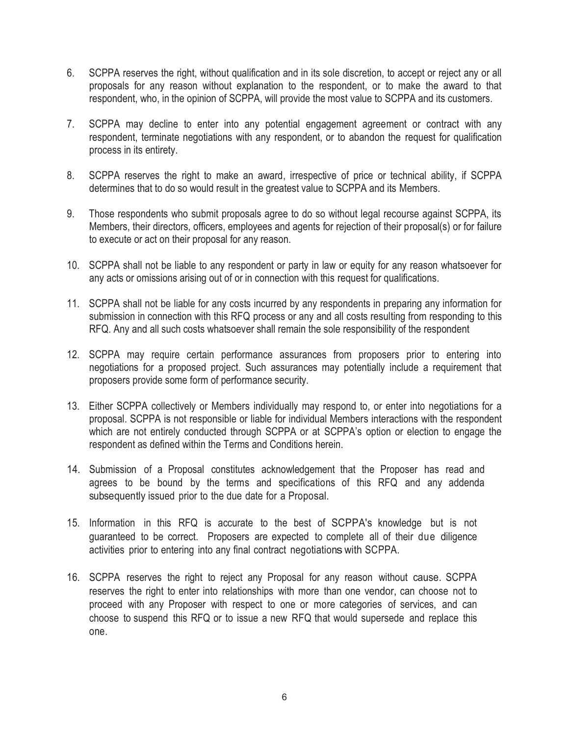- 6. SCPPA reserves the right, without qualification and in its sole discretion, to accept or reject any or all proposals for any reason without explanation to the respondent, or to make the award to that respondent, who, in the opinion of SCPPA, will provide the most value to SCPPA and its customers.
- 7. SCPPA may decline to enter into any potential engagement agreement or contract with any respondent, terminate negotiations with any respondent, or to abandon the request for qualification process in its entirety.
- 8. SCPPA reserves the right to make an award, irrespective of price or technical ability, if SCPPA determines that to do so would result in the greatest value to SCPPA and its Members.
- 9. Those respondents who submit proposals agree to do so without legal recourse against SCPPA, its Members, their directors, officers, employees and agents for rejection of their proposal(s) or for failure to execute or act on their proposal for any reason.
- 10. SCPPA shall not be liable to any respondent or party in law or equity for any reason whatsoever for any acts or omissions arising out of or in connection with this request for qualifications.
- 11. SCPPA shall not be liable for any costs incurred by any respondents in preparing any information for submission in connection with this RFQ process or any and all costs resulting from responding to this RFQ. Any and all such costs whatsoever shall remain the sole responsibility of the respondent
- 12. SCPPA may require certain performance assurances from proposers prior to entering into negotiations for a proposed project. Such assurances may potentially include a requirement that proposers provide some form of performance security.
- 13. Either SCPPA collectively or Members individually may respond to, or enter into negotiations for a proposal. SCPPA is not responsible or liable for individual Members interactions with the respondent which are not entirely conducted through SCPPA or at SCPPA's option or election to engage the respondent as defined within the Terms and Conditions herein.
- 14. Submission of a Proposal constitutes acknowledgement that the Proposer has read and agrees to be bound by the terms and specifications of this RFQ and any addenda subsequently issued prior to the due date for a Proposal.
- 15. Information in this RFQ is accurate to the best of SCPPA's knowledge but is not guaranteed to be correct. Proposers are expected to complete all of their due diligence activities prior to entering into any final contract negotiations with SCPPA.
- 16. SCPPA reserves the right to reject any Proposal for any reason without cause. SCPPA reserves the right to enter into relationships with more than one vendor, can choose not to proceed with any Proposer with respect to one or more categories of services, and can choose to suspend this RFQ or to issue a new RFQ that would supersede and replace this one.